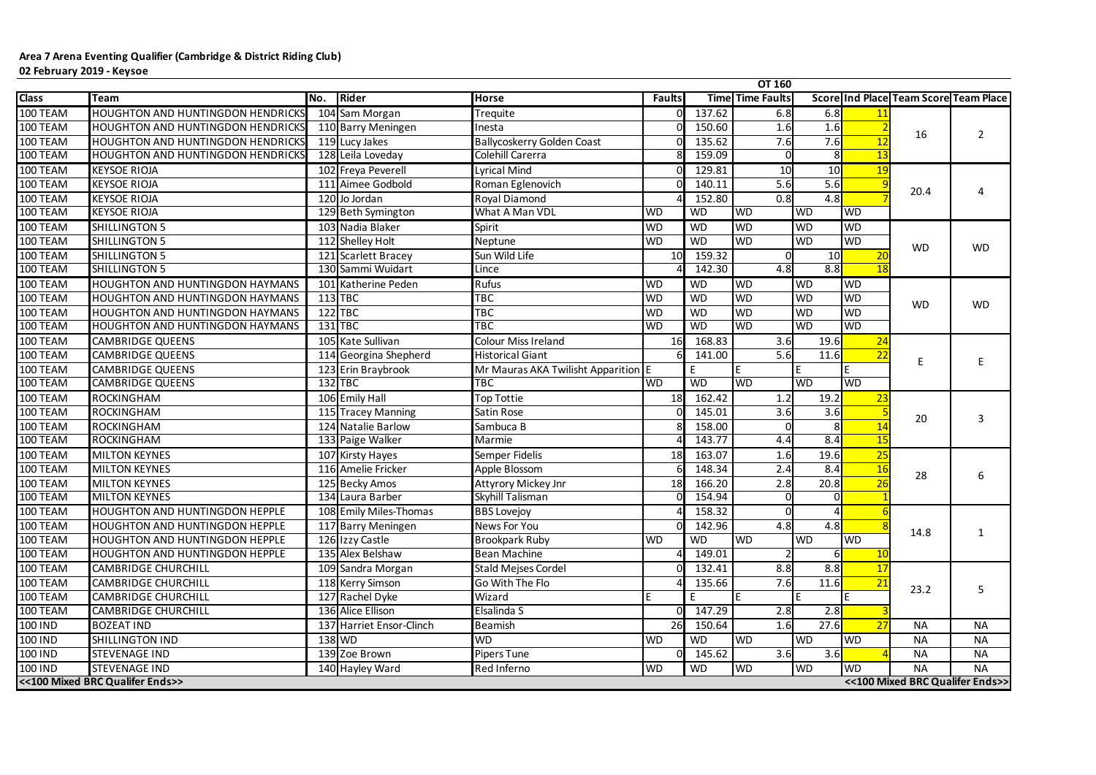|              |                                          |     |                          |                                     |               |           | <b>OT 160</b>           |                |                 |                                              |                                 |
|--------------|------------------------------------------|-----|--------------------------|-------------------------------------|---------------|-----------|-------------------------|----------------|-----------------|----------------------------------------------|---------------------------------|
| <b>Class</b> | <b>Team</b>                              | No. | Rider                    | <b>Horse</b>                        | <b>Faults</b> |           | <b>Time Time Faults</b> |                |                 | <b>Score Ind Place Team Score Team Place</b> |                                 |
| 100 TEAM     | <b>HOUGHTON AND HUNTINGDON HENDRICKS</b> |     | 104 Sam Morgan           | Trequite                            |               | 137.62    | 6.8                     | 6.8            |                 |                                              |                                 |
| 100 TEAM     | <b>HOUGHTON AND HUNTINGDON HENDRICKS</b> |     | 110 Barry Meningen       | Inesta                              |               | 150.60    | 1.6                     | 1.6            |                 | 16                                           | $\overline{2}$                  |
| 100 TEAM     | <b>HOUGHTON AND HUNTINGDON HENDRICKS</b> |     | 119 Lucy Jakes           | <b>Ballycoskerry Golden Coast</b>   |               | 135.62    | 7.6                     | 7.6            | 12              |                                              |                                 |
| 100 TEAM     | <b>HOUGHTON AND HUNTINGDON HENDRICKS</b> |     | 128 Leila Loveday        | Colehill Carerra                    |               | 159.09    | ΩI                      | 8 <sup>l</sup> | $\overline{13}$ |                                              |                                 |
| 100 TEAM     | <b>KEYSOE RIOJA</b>                      |     | 102 Freya Peverell       | <b>Lyrical Mind</b>                 |               | 129.81    | 10                      | 10             | <b>19</b>       |                                              |                                 |
| 100 TEAM     | <b>KEYSOE RIOJA</b>                      |     | 111 Aimee Godbold        | Roman Eglenovich                    |               | 140.11    | 5.6                     | 5.6            |                 | 20.4                                         |                                 |
| 100 TEAM     | <b>KEYSOE RIOJA</b>                      |     | 120 Jo Jordan            | <b>Royal Diamond</b>                |               | 152.80    | 0.8                     | 4.8            |                 |                                              |                                 |
| 100 TEAM     | <b>KEYSOE RIOJA</b>                      |     | 129 Beth Symington       | What A Man VDL                      | <b>WD</b>     | <b>WD</b> | <b>WD</b>               | WD             | <b>WD</b>       |                                              |                                 |
| 100 TEAM     | <b>SHILLINGTON 5</b>                     |     | 103 Nadia Blaker         | Spirit                              | <b>WD</b>     | <b>WD</b> | <b>WD</b>               | <b>WD</b>      | <b>WD</b>       |                                              |                                 |
| 100 TEAM     | <b>SHILLINGTON 5</b>                     |     | 112 Shelley Holt         | Neptune                             | <b>WD</b>     | <b>WD</b> | <b>WD</b>               | <b>WD</b>      | <b>WD</b>       | <b>WD</b>                                    | <b>WD</b>                       |
| 100 TEAM     | <b>SHILLINGTON 5</b>                     |     | 121 Scarlett Bracey      | Sun Wild Life                       | 10            | 159.32    |                         | 10             | 20              |                                              |                                 |
| 100 TEAM     | <b>SHILLINGTON 5</b>                     |     | 130 Sammi Wuidart        | Lince                               |               | 142.30    | 4.8                     | 8.8            | 18              |                                              |                                 |
| 100 TEAM     | <b>HOUGHTON AND HUNTINGDON HAYMANS</b>   |     | 101 Katherine Peden      | Rufus                               | <b>WD</b>     | <b>WD</b> | <b>WD</b>               | <b>WD</b>      | <b>WD</b>       |                                              |                                 |
| 100 TEAM     | <b>HOUGHTON AND HUNTINGDON HAYMANS</b>   |     | $113$ TBC                | <b>TBC</b>                          | <b>WD</b>     | <b>WD</b> | <b>WD</b>               | <b>WD</b>      | <b>WD</b>       |                                              | <b>WD</b>                       |
| 100 TEAM     | <b>HOUGHTON AND HUNTINGDON HAYMANS</b>   |     | $122$ TBC                | <b>TBC</b>                          | <b>WD</b>     | <b>WD</b> | <b>WD</b>               | <b>WD</b>      | <b>WD</b>       | <b>WD</b>                                    |                                 |
| 100 TEAM     | <b>HOUGHTON AND HUNTINGDON HAYMANS</b>   |     | 131 TBC                  | <b>TBC</b>                          | <b>WD</b>     | WD        | <b>WD</b>               | WD             | WD              |                                              |                                 |
| 100 TEAM     | <b>CAMBRIDGE QUEENS</b>                  |     | 105 Kate Sullivan        | <b>Colour Miss Ireland</b>          | 16            | 168.83    | 3.6                     | 19.6           | 24              |                                              |                                 |
| 100 TEAM     | <b>CAMBRIDGE QUEENS</b>                  |     | 114 Georgina Shepherd    | <b>Historical Giant</b>             |               | 141.00    | 5.6                     | 11.6           | 22              |                                              |                                 |
| 100 TEAM     | <b>CAMBRIDGE QUEENS</b>                  |     | 123 Erin Braybrook       | Mr Mauras AKA Twilisht Apparition E |               | E         | ΙE                      |                |                 |                                              |                                 |
| 100 TEAM     | <b>CAMBRIDGE QUEENS</b>                  |     | $132$ TBC                | <b>TBC</b>                          | <b>WD</b>     | <b>WD</b> | <b>WD</b>               | <b>WD</b>      | <b>WD</b>       |                                              |                                 |
| 100 TEAM     | <b>ROCKINGHAM</b>                        |     | 106 Emily Hall           | <b>Top Tottie</b>                   | 18            | 162.42    | 1.2                     | 19.2           | 23              |                                              |                                 |
| 100 TEAM     | <b>ROCKINGHAM</b>                        |     | 115 Tracey Manning       | Satin Rose                          |               | 145.01    | 3.6                     | 3.6            |                 |                                              |                                 |
| 100 TEAM     | ROCKINGHAM                               |     | 124 Natalie Barlow       | Sambuca B                           |               | 158.00    |                         |                |                 | 20                                           | 3                               |
| 100 TEAM     | <b>ROCKINGHAM</b>                        |     | 133 Paige Walker         | Marmie                              |               | 143.77    | 4.4                     | 8.4            | 15              |                                              |                                 |
| 100 TEAM     | <b>MILTON KEYNES</b>                     |     | 107 Kirsty Hayes         | Semper Fidelis                      | 18            | 163.07    | 1.6                     | 19.6           | 25              |                                              |                                 |
| 100 TEAM     | <b>MILTON KEYNES</b>                     |     | 116 Amelie Fricker       | Apple Blossom                       |               | 148.34    | 2.4                     | 8.4            | 16              |                                              |                                 |
| 100 TEAM     | <b>MILTON KEYNES</b>                     |     | 125 Becky Amos           | <b>Attyrory Mickey Jnr</b>          | 18            | 166.20    | 2.8                     | 20.8           | 26              | 28                                           | 6                               |
| 100 TEAM     | <b>MILTON KEYNES</b>                     |     | 134 Laura Barber         | Skyhill Talisman                    | ΩI            | 154.94    | $\overline{0}$          | $\mathbf{0}$   |                 |                                              |                                 |
| 100 TEAM     | <b>HOUGHTON AND HUNTINGDON HEPPLE</b>    |     | 108 Emily Miles-Thomas   | <b>BBS Lovejoy</b>                  |               | 158.32    |                         |                |                 |                                              |                                 |
| 100 TEAM     | <b>HOUGHTON AND HUNTINGDON HEPPLE</b>    |     | 117 Barry Meningen       | News For You                        |               | 142.96    | 4.8                     | 4.8            |                 | 14.8                                         |                                 |
| 100 TEAM     | <b>HOUGHTON AND HUNTINGDON HEPPLE</b>    |     | 126 Izzy Castle          | Brookpark Ruby                      | <b>WD</b>     | <b>WD</b> | <b>WD</b>               | <b>WD</b>      | <b>WD</b>       |                                              |                                 |
| 100 TEAM     | <b>HOUGHTON AND HUNTINGDON HEPPLE</b>    |     | 135 Alex Belshaw         | <b>Bean Machine</b>                 |               | 149.01    |                         |                |                 |                                              |                                 |
| 100 TEAM     | <b>CAMBRIDGE CHURCHILL</b>               |     | 109 Sandra Morgan        | <b>Stald Mejses Cordel</b>          |               | 132.41    | 8.8                     | 8.8            | 17              |                                              |                                 |
| 100 TEAM     | <b>CAMBRIDGE CHURCHILL</b>               |     | 118 Kerry Simson         | Go With The Flo                     |               | 135.66    | 7.6                     | 11.6           | <u>21</u>       | 23.2                                         | 5                               |
| 100 TEAM     | <b>CAMBRIDGE CHURCHILL</b>               |     | 127 Rachel Dyke          | Wizard                              |               | E         | lE.                     |                |                 |                                              |                                 |
| 100 TEAM     | <b>CAMBRIDGE CHURCHILL</b>               |     | 136 Alice Ellison        | Elsalinda S                         |               | 147.29    | 2.8                     | 2.8            |                 |                                              |                                 |
| 100 IND      | <b>BOZEAT IND</b>                        |     | 137 Harriet Ensor-Clinch | Beamish                             | 26            | 150.64    | 1.6                     | 27.6           | 27              | <b>NA</b>                                    | <b>NA</b>                       |
| 100 IND      | <b>SHILLINGTON IND</b>                   |     | $138$ WD                 | <b>WD</b>                           | <b>WD</b>     | <b>WD</b> | <b>WD</b>               | <b>WD</b>      | <b>WD</b>       | <b>NA</b>                                    | <b>NA</b>                       |
| 100 IND      | <b>STEVENAGE IND</b>                     |     | 139 Zoe Brown            | Pipers Tune                         |               | 145.62    | 3.6                     | 3.6            |                 | <b>NA</b>                                    | <b>NA</b>                       |
| 100 IND      | <b>STEVENAGE IND</b>                     |     | 140 Hayley Ward          | Red Inferno                         | <b>WD</b>     | <b>WD</b> | <b>WD</b>               | <b>WD</b>      | <b>WD</b>       | <b>NA</b>                                    | <b>NA</b>                       |
|              | <<100 Mixed BRC Qualifer Ends>>          |     |                          |                                     |               |           |                         |                |                 |                                              | <<100 Mixed BRC Qualifer Ends>> |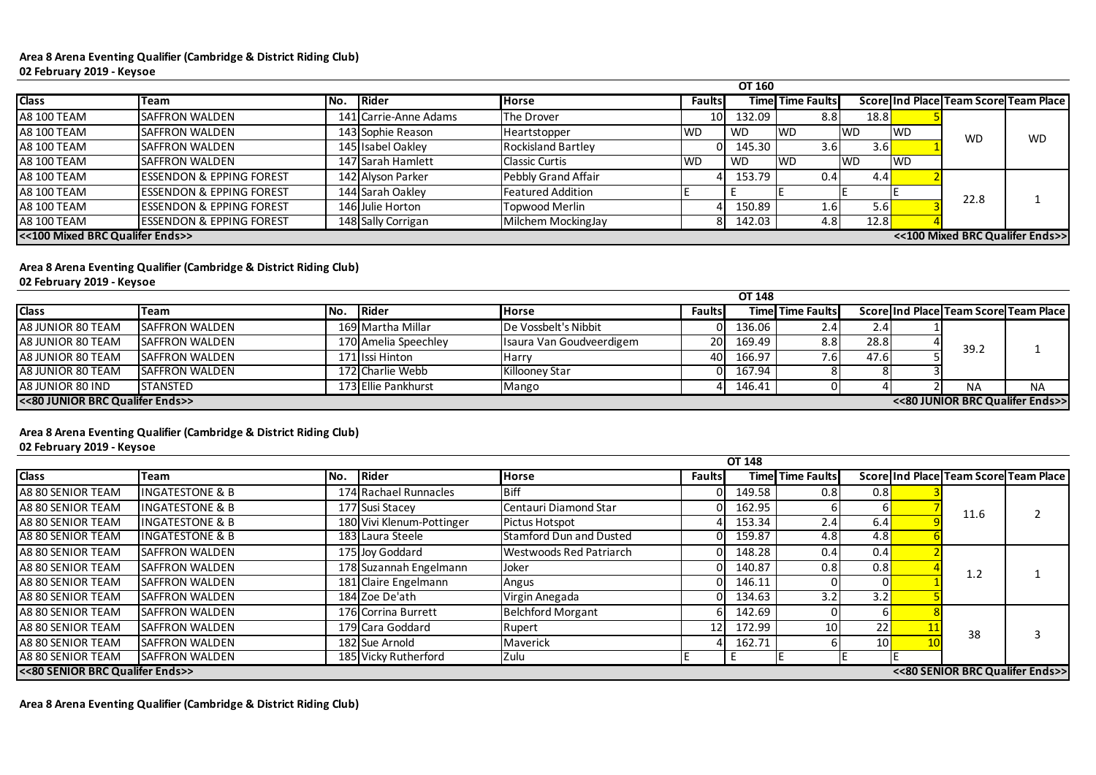#### **Area 8 Arena Eventing Qualifier (Cambridge & District Riding Club) 02 February 2019 - Keysoe**

#### **Area 8 Arena Eventing Qualifier (Cambridge & District Riding Club)**

**02 February 2019 - Keysoe**

|                    |                                                                    |     |                       |                           |               | <b>OT 160</b> |                         |            |     |           |                                       |
|--------------------|--------------------------------------------------------------------|-----|-----------------------|---------------------------|---------------|---------------|-------------------------|------------|-----|-----------|---------------------------------------|
| <b>Class</b>       | <b>Team</b>                                                        | No. | Rider                 | <b>Horse</b>              | <b>Faults</b> |               | <b>Time Time Faults</b> |            |     |           | Score Ind Place Team Score Team Place |
| <b>A8 100 TEAM</b> | <b>SAFFRON WALDEN</b>                                              |     | 141 Carrie-Anne Adams | The Drover                |               | 132.09        | 8.8                     | 18.8       |     |           |                                       |
| <b>A8 100 TEAM</b> | <b>SAFFRON WALDEN</b>                                              |     | 143 Sophie Reason     | <b>Heartstopper</b>       | <b>WD</b>     | <b>WD</b>     | <b>IWD</b>              | <b>IWD</b> | IWD | <b>WD</b> | <b>WD</b>                             |
| <b>A8 100 TEAM</b> | <b>SAFFRON WALDEN</b>                                              |     | 145 Isabel Oakley     | <b>Rockisland Bartley</b> |               | 145.30        | 3.6                     | 3.6I       |     |           |                                       |
| <b>A8 100 TEAM</b> | <b>SAFFRON WALDEN</b>                                              |     | 147 Sarah Hamlett     | <b>Classic Curtis</b>     | <b>IWD</b>    | <b>WD</b>     | <b>IWD</b>              | <b>IWD</b> | "WD |           |                                       |
| <b>A8 100 TEAM</b> | <b>ESSENDON &amp; EPPING FOREST</b>                                |     | 142 Alyson Parker     | Pebbly Grand Affair       |               | 153.79        | 0.41                    | 4.4        |     |           |                                       |
| <b>A8 100 TEAM</b> | <b>ESSENDON &amp; EPPING FOREST</b>                                |     | 144 Sarah Oakley      | <b>Featured Addition</b>  |               |               |                         |            |     | 22.8      |                                       |
| <b>A8 100 TEAM</b> | <b>ESSENDON &amp; EPPING FOREST</b>                                |     | 146 Julie Horton      | Topwood Merlin            |               | 150.89        | 1.61                    | 5.61       |     |           |                                       |
| <b>A8 100 TEAM</b> | <b>ESSENDON &amp; EPPING FOREST</b>                                |     | 148 Sally Corrigan    | Milchem MockingJay        |               | 142.03        | 4.8                     | 12.8       |     |           |                                       |
|                    | <<100 Mixed BRC Qualifer Ends>><br><<100 Mixed BRC Qualifer Ends>> |     |                       |                           |               |               |                         |            |     |           |                                       |

# **Area 8 Arena Eventing Qualifier (Cambridge & District Riding Club)**

**02 February 2019 - Keysoe**

|                   |                                                                    |      |                      |                          |               | <b>OT 148</b> |                         |      |  |           |                                       |  |
|-------------------|--------------------------------------------------------------------|------|----------------------|--------------------------|---------------|---------------|-------------------------|------|--|-----------|---------------------------------------|--|
| <b>Class</b>      | Team                                                               | INo. | <b>Rider</b>         | <b>Horse</b>             | <b>Faults</b> |               | <b>Time Time Faults</b> |      |  |           | Score Ind Place Team Score Team Place |  |
| A8 JUNIOR 80 TEAM | <b>SAFFRON WALDEN</b>                                              |      | 169 Martha Millar    | De Vossbelt's Nibbit     |               | 136.06        | 2.41                    | 2.41 |  |           |                                       |  |
| A8 JUNIOR 80 TEAM | <b>SAFFRON WALDEN</b>                                              |      | 170 Amelia Speechley | Isaura Van Goudveerdigem | <b>20</b>     | 169.49        | 8.8                     | 28.8 |  | 39.2      |                                       |  |
| A8 JUNIOR 80 TEAM | <b>SAFFRON WALDEN</b>                                              |      | 171 Issi Hinton      | Harry                    | 40            | 166.97        | 7.6                     | 47.6 |  |           |                                       |  |
| A8 JUNIOR 80 TEAM | <b>SAFFRON WALDEN</b>                                              |      | 172 Charlie Webb     | Killooney Star           |               | 167.94        |                         |      |  |           |                                       |  |
| A8 JUNIOR 80 IND  | <b>STANSTED</b>                                                    |      | 173 Ellie Pankhurst  | Mango                    |               | 146.41        | ΩL                      |      |  | <b>NA</b> | <b>NA</b>                             |  |
|                   | <<80 JUNIOR BRC Qualifer Ends>><br><<80 JUNIOR BRC Qualifer Ends>> |      |                      |                          |               |               |                         |      |  |           |                                       |  |

|                                 |                            |     |                           |                                |               | <b>OT 148</b> |                         |     |  |                                       |  |
|---------------------------------|----------------------------|-----|---------------------------|--------------------------------|---------------|---------------|-------------------------|-----|--|---------------------------------------|--|
| <b>Class</b>                    | Team                       | No. | <b>Rider</b>              | <b>Horse</b>                   | <b>Faults</b> |               | <b>Time Time Faults</b> |     |  | Score Ind Place Team Score Team Place |  |
| A8 80 SENIOR TEAM               | <b>INGATESTONE &amp; B</b> |     | 174 Rachael Runnacles     | Biff                           |               | 149.58        | 0.8                     | 0.8 |  |                                       |  |
| A8 80 SENIOR TEAM               | <b>INGATESTONE &amp; B</b> |     | 177 Susi Stacey           | Centauri Diamond Star          |               | 162.95        |                         |     |  | 11.6                                  |  |
| A8 80 SENIOR TEAM               | <b>INGATESTONE &amp; B</b> |     | 180 Vivi Klenum-Pottinger | <b>Pictus Hotspot</b>          |               | 153.34        | 2.4                     | 6.4 |  |                                       |  |
| A8 80 SENIOR TEAM               | <b>INGATESTONE &amp; B</b> |     | 183 Laura Steele          | <b>Stamford Dun and Dusted</b> |               | 159.87        | 4.8                     | 4.8 |  |                                       |  |
| A8 80 SENIOR TEAM               | <b>SAFFRON WALDEN</b>      |     | 175 Joy Goddard           | <b>Westwoods Red Patriarch</b> |               | 148.28        | 0.4                     | 0.4 |  |                                       |  |
| A8 80 SENIOR TEAM               | <b>SAFFRON WALDEN</b>      |     | 178 Suzannah Engelmann    | Joker                          |               | 140.87        | 0.8                     | 0.8 |  | 1.2                                   |  |
| A8 80 SENIOR TEAM               | <b>SAFFRON WALDEN</b>      |     | 181 Claire Engelmann      | Angus                          |               | 146.11        |                         |     |  |                                       |  |
| A8 80 SENIOR TEAM               | <b>SAFFRON WALDEN</b>      |     | 184 Zoe De'ath            | Virgin Anegada                 |               | 134.63        | 3.2 <sub>1</sub>        | 3.2 |  |                                       |  |
| A8 80 SENIOR TEAM               | <b>SAFFRON WALDEN</b>      |     | 176 Corrina Burrett       | <b>Belchford Morgant</b>       |               | 142.69        |                         |     |  |                                       |  |
| A8 80 SENIOR TEAM               | <b>SAFFRON WALDEN</b>      |     | 179 Cara Goddard          | Rupert                         | 12            | 172.99        | 10                      |     |  | 38                                    |  |
| A8 80 SENIOR TEAM               | <b>SAFFRON WALDEN</b>      |     | 182 Sue Arnold            | Maverick                       |               | 162.71        |                         | 10  |  |                                       |  |
| A8 80 SENIOR TEAM               | <b>SAFFRON WALDEN</b>      |     | 185 Vicky Rutherford      | Zulu                           |               |               |                         |     |  |                                       |  |
| <<80 SENIOR BRC Qualifer Ends>> |                            |     |                           |                                |               |               |                         |     |  | <<80 SENIOR BRC Qualifer Ends>>       |  |

**Area 8 Arena Eventing Qualifier (Cambridge & District Riding Club)**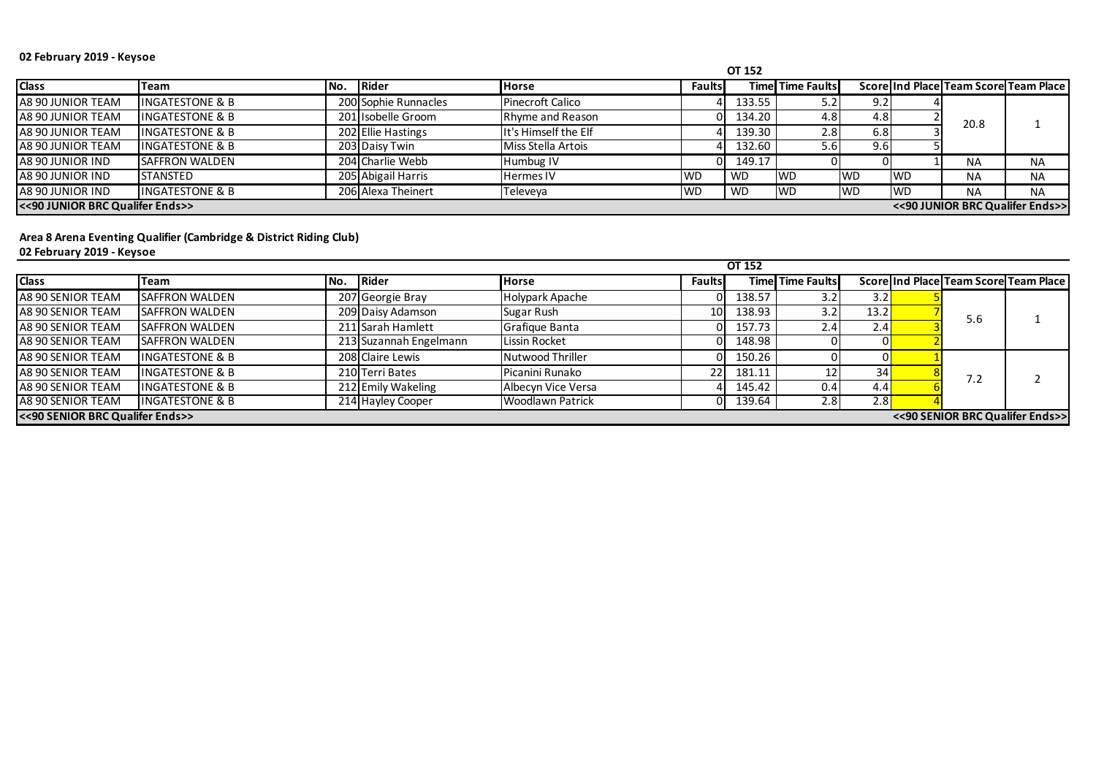## **02 February 2019 - Keysoe**

**Area 8 Arena Eventing Qualifier (Cambridge & District Riding Club) 02 February 2019 - Keysoe**

|                                 |                            |     |                      |                         |               | <b>OT 152</b> |                         |            |           |           |                                       |
|---------------------------------|----------------------------|-----|----------------------|-------------------------|---------------|---------------|-------------------------|------------|-----------|-----------|---------------------------------------|
| <b>Class</b>                    | Team                       | No. | <b>Rider</b>         | <b>Horse</b>            | <b>Faults</b> |               | <b>Time Time Faults</b> |            |           |           | Score Ind Place Team Score Team Place |
| A8 90 JUNIOR TEAM               | <b>INGATESTONE &amp; B</b> |     | 200 Sophie Runnacles | <b>Pinecroft Calico</b> |               | 133.55        | 5.2                     | 9.2        |           |           |                                       |
| A8 90 JUNIOR TEAM               | <b>INGATESTONE &amp; B</b> |     | 201 Isobelle Groom   | Rhyme and Reason        |               | 134.20        | 4.8                     | 4.8        |           | 20.8      |                                       |
| A8 90 JUNIOR TEAM               | <b>INGATESTONE &amp; B</b> |     | 202 Ellie Hastings   | It's Himself the Elf    |               | 139.30        | 2.8                     | 6.8        |           |           |                                       |
| A8 90 JUNIOR TEAM               | <b>INGATESTONE &amp; B</b> |     | 203 Daisy Twin       | Miss Stella Artois      |               | 132.60        | 5.6 <sub>1</sub>        | 9.6        |           |           |                                       |
| A8 90 JUNIOR IND                | <b>SAFFRON WALDEN</b>      |     | 204 Charlie Webb     | Humbug IV               |               | 149.17        | ΟI                      |            |           | <b>NA</b> | <b>NA</b>                             |
| A8 90 JUNIOR IND                | <b>STANSTED</b>            |     | 205 Abigail Harris   | <b>Hermes IV</b>        | <b>WD</b>     | <b>WD</b>     | <b>IWD</b>              | <b>IWD</b> | <b>WD</b> | <b>NA</b> | <b>NA</b>                             |
| A8 90 JUNIOR IND                | <b>INGATESTONE &amp; B</b> |     | 206 Alexa Theinert   | Televeya                | <b>WD</b>     | <b>WD</b>     | <b>IWD</b>              | <b>WD</b>  | <b>WD</b> | <b>NA</b> | <b>NA</b>                             |
| <<90 JUNIOR BRC Qualifer Ends>> |                            |     |                      |                         |               |               |                         |            |           |           | << 90 JUNIOR BRC Qualifer Ends>>      |

|                                 |                            |      |                        |                         |                 | OT 152 |                         |      |     |                                       |
|---------------------------------|----------------------------|------|------------------------|-------------------------|-----------------|--------|-------------------------|------|-----|---------------------------------------|
| <b>Class</b>                    | Team                       | INo. | Rider                  | <b>Horse</b>            | <b>Faults</b>   |        | <b>Time Time Faults</b> |      |     | Score Ind Place Team Score Team Place |
| A8 90 SENIOR TEAM               | <b>SAFFRON WALDEN</b>      |      | 207 Georgie Bray       | Holypark Apache         |                 | 138.57 | 3.2                     | 3.2  |     |                                       |
| A8 90 SENIOR TEAM               | <b>SAFFRON WALDEN</b>      |      | 209 Daisy Adamson      | Sugar Rush              | 10 <sub>1</sub> | 138.93 | 3.2                     | 13.2 | 5.6 |                                       |
| A8 90 SENIOR TEAM               | <b>SAFFRON WALDEN</b>      |      | 211 Sarah Hamlett      | Grafique Banta          |                 | 157.73 | 2.4                     | 2.4  |     |                                       |
| A8 90 SENIOR TEAM               | <b>SAFFRON WALDEN</b>      |      | 213 Suzannah Engelmann | Lissin Rocket           |                 | 148.98 |                         |      |     |                                       |
| A8 90 SENIOR TEAM               | <b>INGATESTONE &amp; B</b> |      | 208 Claire Lewis       | Nutwood Thriller        |                 | 150.26 |                         |      |     |                                       |
| A8 90 SENIOR TEAM               | <b>INGATESTONE &amp; B</b> |      | 210 Terri Bates        | Picanini Runako         |                 | 181.11 |                         | 34   | 7.2 |                                       |
| A8 90 SENIOR TEAM               | <b>INGATESTONE &amp; B</b> |      | 212 Emily Wakeling     | Albecyn Vice Versa      |                 | 145.42 | 0.4                     | 4.4  |     |                                       |
| A8 90 SENIOR TEAM               | <b>INGATESTONE &amp; B</b> |      | 214 Hayley Cooper      | <b>Woodlawn Patrick</b> |                 | 139.64 | 2.8                     | 2.8  |     |                                       |
| <<90 SENIOR BRC Qualifer Ends>> |                            |      |                        |                         |                 |        |                         |      |     | << 90 SENIOR BRC Qualifer Ends>>      |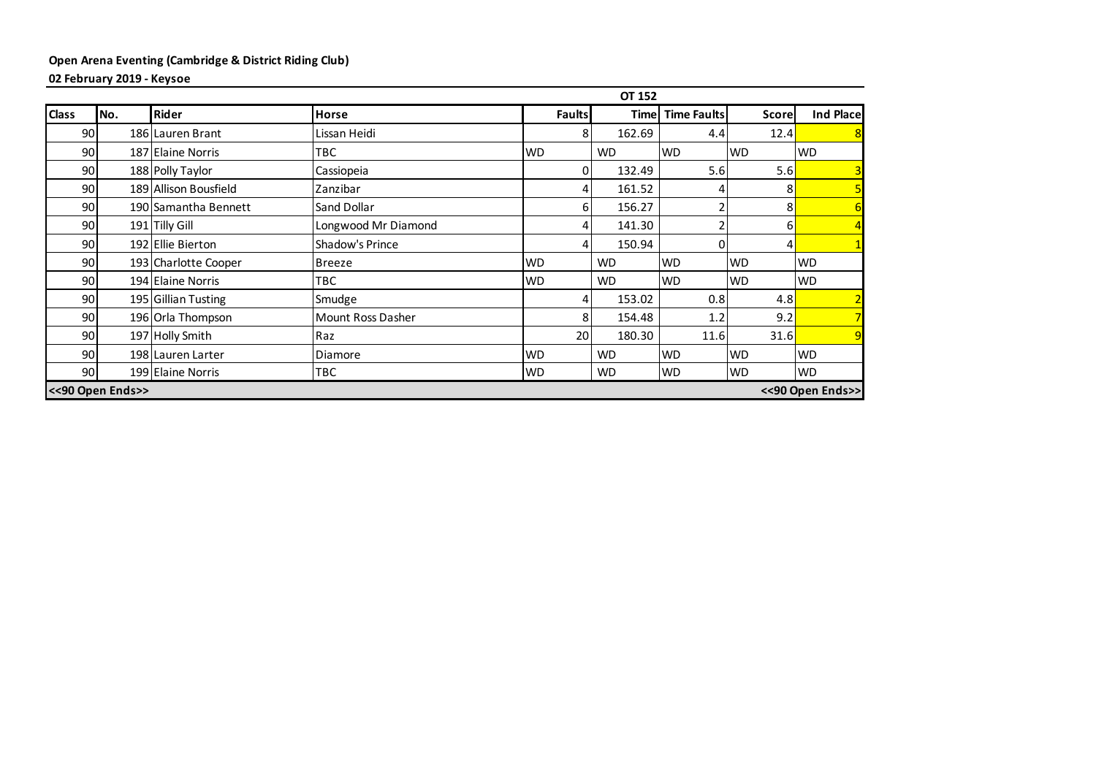### **Open Arena Eventing (Cambridge & District Riding Club) 02 February 2019 - Keysoe**

**OT 152 Class** No. Rider **Rider Horse Horse Example 1** Faults **Faults Faults Example 1** Fould 90 186 Lauren Brant Lissan Heidi 12.4 8 162.69 4.4 12.4 90 187 Elaine Norris TBC TBC NOD WD WD WD WD WD WD 90 188 Polly Taylor Cassiopeia 0 132.49 5.6 5.6 3 90 189 Allison Bousfield Zanzibar 4 161.52 4 8 5 90 190 Samantha Bennett Sand Dollar Sand Dollar (Sand Dollar 156.27 |  $\vert$  156.27 | 2 8 | 90 191 Tilly Gill Longwood Mr Diamond 4 141.30 2 6 4 90 192 Ellie Bierton Shadow's Prince 4 150.94 0 4 1 90 193 Charlotte Cooper Breeze WD WD WD WD WD WD WD 90 194 Elaine Norris TBC TBC WD WD WD WD WD WD WD 90 195 Gillian Tusting Smudge 3.8 Smudge 3.8 2010 153.02 153.02 153.02 1.8 90 196 Orla Thompson Mount Ross Dasher  $\vert$  8 154.48 1.2 9.2 90| 197|Holly Smith |Raz | 20| 180.30 | 11.6| 31.6<mark> 9</mark> 90 198 Lauren Larter University Diamore WD WD WD WD WD WD WD WD 90 199 Elaine Norris TBC TBC WD WD WD WD WD WD **<<90 Open Ends>> <<90 Open Ends>>**

| I | <b>Plac</b> |   |
|---|-------------|---|
|   |             | 8 |
|   |             |   |
|   |             |   |
|   |             | C |
|   |             |   |
|   |             |   |
|   |             |   |
|   |             |   |
|   |             |   |
|   |             |   |
|   |             |   |
|   |             |   |
|   |             |   |
|   |             |   |
| г | ds><br>I    |   |